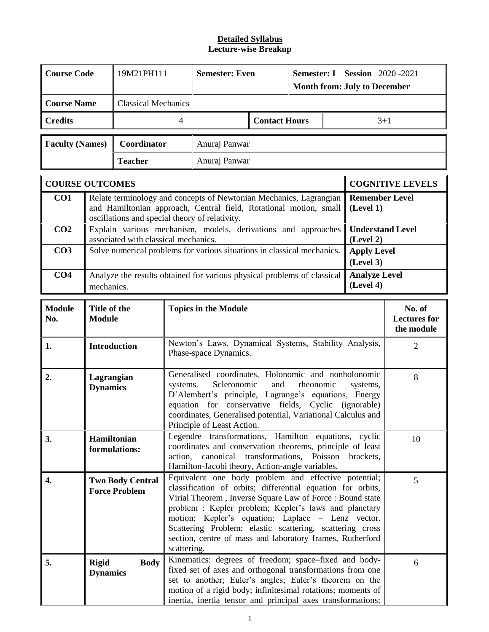| <b>Course Code</b><br>19M21PH111                                                                                                               |                                                                                                                                                                                                                                                                                                                                                                                  |                                                                                                                                                                                                                                                                                                           | <b>Semester: Even</b>                                                                                                                                                                                                                                                                                                                                                                                                       |                                                                                                                                                                                                                                                    | Semester: I Session 2020-2021<br><b>Month from: July to December</b> |           |  |                                             |                         |  |  |
|------------------------------------------------------------------------------------------------------------------------------------------------|----------------------------------------------------------------------------------------------------------------------------------------------------------------------------------------------------------------------------------------------------------------------------------------------------------------------------------------------------------------------------------|-----------------------------------------------------------------------------------------------------------------------------------------------------------------------------------------------------------------------------------------------------------------------------------------------------------|-----------------------------------------------------------------------------------------------------------------------------------------------------------------------------------------------------------------------------------------------------------------------------------------------------------------------------------------------------------------------------------------------------------------------------|----------------------------------------------------------------------------------------------------------------------------------------------------------------------------------------------------------------------------------------------------|----------------------------------------------------------------------|-----------|--|---------------------------------------------|-------------------------|--|--|
| <b>Course Name</b>                                                                                                                             |                                                                                                                                                                                                                                                                                                                                                                                  | <b>Classical Mechanics</b>                                                                                                                                                                                                                                                                                |                                                                                                                                                                                                                                                                                                                                                                                                                             |                                                                                                                                                                                                                                                    |                                                                      |           |  |                                             |                         |  |  |
| <b>Credits</b>                                                                                                                                 |                                                                                                                                                                                                                                                                                                                                                                                  |                                                                                                                                                                                                                                                                                                           | 4                                                                                                                                                                                                                                                                                                                                                                                                                           |                                                                                                                                                                                                                                                    | <b>Contact Hours</b>                                                 |           |  | $3+1$                                       |                         |  |  |
| <b>Faculty (Names)</b>                                                                                                                         |                                                                                                                                                                                                                                                                                                                                                                                  | Coordinator                                                                                                                                                                                                                                                                                               |                                                                                                                                                                                                                                                                                                                                                                                                                             | Anuraj Panwar                                                                                                                                                                                                                                      |                                                                      |           |  |                                             |                         |  |  |
|                                                                                                                                                |                                                                                                                                                                                                                                                                                                                                                                                  | <b>Teacher</b>                                                                                                                                                                                                                                                                                            |                                                                                                                                                                                                                                                                                                                                                                                                                             | Anuraj Panwar                                                                                                                                                                                                                                      |                                                                      |           |  |                                             |                         |  |  |
| <b>COURSE OUTCOMES</b>                                                                                                                         |                                                                                                                                                                                                                                                                                                                                                                                  |                                                                                                                                                                                                                                                                                                           |                                                                                                                                                                                                                                                                                                                                                                                                                             |                                                                                                                                                                                                                                                    |                                                                      |           |  |                                             | <b>COGNITIVE LEVELS</b> |  |  |
| CO1<br>Relate terminology and concepts of Newtonian Mechanics, Lagrangian<br>and Hamiltonian approach, Central field, Rotational motion, small |                                                                                                                                                                                                                                                                                                                                                                                  |                                                                                                                                                                                                                                                                                                           |                                                                                                                                                                                                                                                                                                                                                                                                                             | oscillations and special theory of relativity.                                                                                                                                                                                                     |                                                                      |           |  | <b>Remember Level</b><br>(Level 1)          |                         |  |  |
| CO <sub>2</sub>                                                                                                                                |                                                                                                                                                                                                                                                                                                                                                                                  | associated with classical mechanics.                                                                                                                                                                                                                                                                      |                                                                                                                                                                                                                                                                                                                                                                                                                             | Explain various mechanism, models, derivations and approaches                                                                                                                                                                                      |                                                                      |           |  | <b>Understand Level</b><br>(Level 2)        |                         |  |  |
| CO <sub>3</sub>                                                                                                                                |                                                                                                                                                                                                                                                                                                                                                                                  |                                                                                                                                                                                                                                                                                                           |                                                                                                                                                                                                                                                                                                                                                                                                                             | Solve numerical problems for various situations in classical mechanics.                                                                                                                                                                            |                                                                      |           |  | <b>Apply Level</b><br>(Level 3)             |                         |  |  |
| CO <sub>4</sub>                                                                                                                                |                                                                                                                                                                                                                                                                                                                                                                                  | Analyze the results obtained for various physical problems of classical<br><b>Analyze Level</b><br>(Level 4)<br>mechanics.                                                                                                                                                                                |                                                                                                                                                                                                                                                                                                                                                                                                                             |                                                                                                                                                                                                                                                    |                                                                      |           |  |                                             |                         |  |  |
| <b>Module</b><br>No.                                                                                                                           | Title of the<br><b>Module</b>                                                                                                                                                                                                                                                                                                                                                    |                                                                                                                                                                                                                                                                                                           | <b>Topics in the Module</b>                                                                                                                                                                                                                                                                                                                                                                                                 |                                                                                                                                                                                                                                                    |                                                                      |           |  | No. of<br><b>Lectures</b> for<br>the module |                         |  |  |
| 1.                                                                                                                                             | <b>Introduction</b>                                                                                                                                                                                                                                                                                                                                                              |                                                                                                                                                                                                                                                                                                           |                                                                                                                                                                                                                                                                                                                                                                                                                             | Newton's Laws, Dynamical Systems, Stability Analysis,<br>Phase-space Dynamics.                                                                                                                                                                     |                                                                      |           |  |                                             | $\overline{2}$          |  |  |
| 2.                                                                                                                                             | Lagrangian<br><b>Dynamics</b>                                                                                                                                                                                                                                                                                                                                                    |                                                                                                                                                                                                                                                                                                           | systems.                                                                                                                                                                                                                                                                                                                                                                                                                    | Generalised coordinates, Holonomic and nonholonomic<br>Scleronomic<br>D'Alembert's principle, Lagrange's equations, Energy<br>equation for conservative fields, Cyclic (ignorable)<br>coordinates, Generalised potential, Variational Calculus and | and                                                                  | rheonomic |  | systems,                                    | 8                       |  |  |
| 3.                                                                                                                                             |                                                                                                                                                                                                                                                                                                                                                                                  | Principle of Least Action.<br>Legendre transformations, Hamilton equations, cyclic<br>Hamiltonian<br>10<br>coordinates and conservation theorems, principle of least<br>formulations:<br>canonical transformations,<br>Poisson<br>brackets,<br>action,<br>Hamilton-Jacobi theory, Action-angle variables. |                                                                                                                                                                                                                                                                                                                                                                                                                             |                                                                                                                                                                                                                                                    |                                                                      |           |  |                                             |                         |  |  |
| 4.                                                                                                                                             |                                                                                                                                                                                                                                                                                                                                                                                  | <b>Two Body Central</b><br><b>Force Problem</b>                                                                                                                                                                                                                                                           | Equivalent one body problem and effective potential;<br>5<br>classification of orbits; differential equation for orbits,<br>Virial Theorem, Inverse Square Law of Force: Bound state<br>problem : Kepler problem; Kepler's laws and planetary<br>motion; Kepler's equation; Laplace - Lenz vector.<br>Scattering Problem: elastic scattering, scattering cross<br>section, centre of mass and laboratory frames, Rutherford |                                                                                                                                                                                                                                                    |                                                                      |           |  |                                             |                         |  |  |
| 5.                                                                                                                                             | scattering.<br>Kinematics: degrees of freedom; space-fixed and body-<br><b>Body</b><br>6<br><b>Rigid</b><br>fixed set of axes and orthogonal transformations from one<br><b>Dynamics</b><br>set to another; Euler's angles; Euler's theorem on the<br>motion of a rigid body; infinitesimal rotations; moments of<br>inertia, inertia tensor and principal axes transformations; |                                                                                                                                                                                                                                                                                                           |                                                                                                                                                                                                                                                                                                                                                                                                                             |                                                                                                                                                                                                                                                    |                                                                      |           |  |                                             |                         |  |  |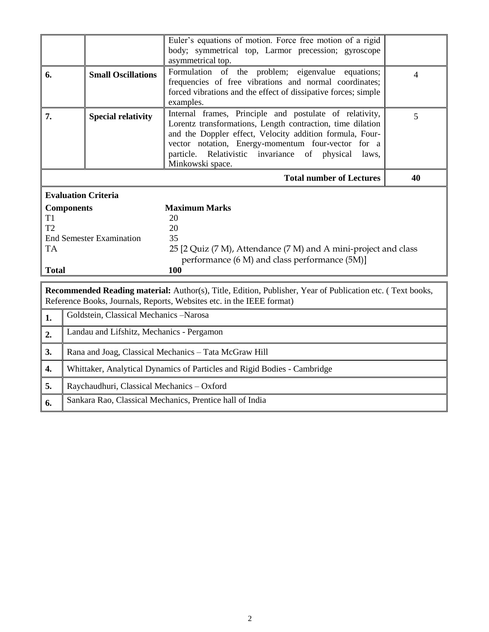|                                                                                                                                                                                    | Euler's equations of motion. Force free motion of a rigid<br>body; symmetrical top, Larmor precession; gyroscope<br>asymmetrical top.                                                                                                                                                                                          |                                                                                                                                     |  |  |  |  |
|------------------------------------------------------------------------------------------------------------------------------------------------------------------------------------|--------------------------------------------------------------------------------------------------------------------------------------------------------------------------------------------------------------------------------------------------------------------------------------------------------------------------------|-------------------------------------------------------------------------------------------------------------------------------------|--|--|--|--|
| <b>Small Oscillations</b>                                                                                                                                                          | Formulation of the problem; eigenvalue equations;<br>frequencies of free vibrations and normal coordinates;<br>forced vibrations and the effect of dissipative forces; simple<br>examples.                                                                                                                                     | $\overline{4}$                                                                                                                      |  |  |  |  |
| <b>Special relativity</b>                                                                                                                                                          | Internal frames, Principle and postulate of relativity,<br>Lorentz transformations, Length contraction, time dilation<br>and the Doppler effect, Velocity addition formula, Four-<br>vector notation, Energy-momentum four-vector for a<br>Relativistic invariance<br>particle.<br>of<br>physical<br>laws,<br>Minkowski space. | 5                                                                                                                                   |  |  |  |  |
|                                                                                                                                                                                    | <b>Total number of Lectures</b>                                                                                                                                                                                                                                                                                                | 40                                                                                                                                  |  |  |  |  |
| <b>Evaluation Criteria</b>                                                                                                                                                         |                                                                                                                                                                                                                                                                                                                                |                                                                                                                                     |  |  |  |  |
| <b>Components</b>                                                                                                                                                                  | <b>Maximum Marks</b>                                                                                                                                                                                                                                                                                                           |                                                                                                                                     |  |  |  |  |
|                                                                                                                                                                                    | 20                                                                                                                                                                                                                                                                                                                             |                                                                                                                                     |  |  |  |  |
|                                                                                                                                                                                    |                                                                                                                                                                                                                                                                                                                                |                                                                                                                                     |  |  |  |  |
|                                                                                                                                                                                    |                                                                                                                                                                                                                                                                                                                                |                                                                                                                                     |  |  |  |  |
|                                                                                                                                                                                    |                                                                                                                                                                                                                                                                                                                                |                                                                                                                                     |  |  |  |  |
|                                                                                                                                                                                    |                                                                                                                                                                                                                                                                                                                                |                                                                                                                                     |  |  |  |  |
| <b>Total</b>                                                                                                                                                                       |                                                                                                                                                                                                                                                                                                                                |                                                                                                                                     |  |  |  |  |
| Recommended Reading material: Author(s), Title, Edition, Publisher, Year of Publication etc. (Text books,<br>Reference Books, Journals, Reports, Websites etc. in the IEEE format) |                                                                                                                                                                                                                                                                                                                                |                                                                                                                                     |  |  |  |  |
| Goldstein, Classical Mechanics -Narosa<br>1.                                                                                                                                       |                                                                                                                                                                                                                                                                                                                                |                                                                                                                                     |  |  |  |  |
|                                                                                                                                                                                    |                                                                                                                                                                                                                                                                                                                                |                                                                                                                                     |  |  |  |  |
| Landau and Lifshitz, Mechanics - Pergamon                                                                                                                                          |                                                                                                                                                                                                                                                                                                                                |                                                                                                                                     |  |  |  |  |
|                                                                                                                                                                                    | Rana and Joag, Classical Mechanics - Tata McGraw Hill                                                                                                                                                                                                                                                                          |                                                                                                                                     |  |  |  |  |
|                                                                                                                                                                                    | Whittaker, Analytical Dynamics of Particles and Rigid Bodies - Cambridge                                                                                                                                                                                                                                                       |                                                                                                                                     |  |  |  |  |
| Raychaudhuri, Classical Mechanics - Oxford                                                                                                                                         |                                                                                                                                                                                                                                                                                                                                |                                                                                                                                     |  |  |  |  |
|                                                                                                                                                                                    | <b>End Semester Examination</b>                                                                                                                                                                                                                                                                                                | 20<br>35<br>25 [2 Quiz (7 M), Attendance (7 M) and A mini-project and class<br>performance (6 M) and class performance (5M)]<br>100 |  |  |  |  |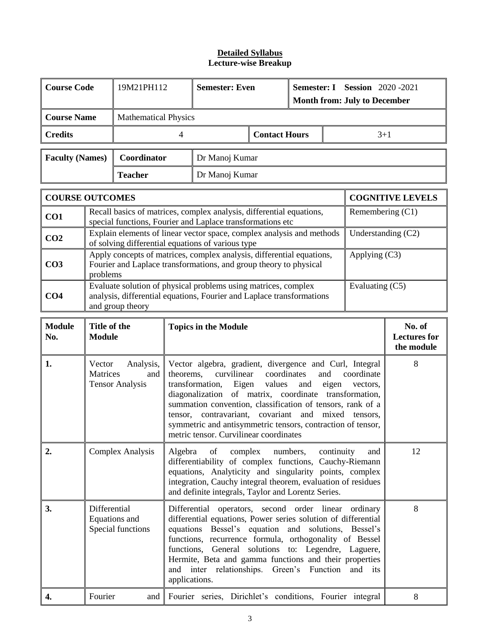| <b>Course Code</b>     |                                                                                                                                                                                                                                                                                                                                                                                                                                                                                                                                                                  | 19M21PH112 |                             | <b>Semester: Even</b>                                                                                                                      |                      | Semester: I Session 2020-2021<br><b>Month from: July to December</b> |                                             |                      |                         |  |  |
|------------------------|------------------------------------------------------------------------------------------------------------------------------------------------------------------------------------------------------------------------------------------------------------------------------------------------------------------------------------------------------------------------------------------------------------------------------------------------------------------------------------------------------------------------------------------------------------------|------------|-----------------------------|--------------------------------------------------------------------------------------------------------------------------------------------|----------------------|----------------------------------------------------------------------|---------------------------------------------|----------------------|-------------------------|--|--|
| <b>Course Name</b>     | <b>Mathematical Physics</b>                                                                                                                                                                                                                                                                                                                                                                                                                                                                                                                                      |            |                             |                                                                                                                                            |                      |                                                                      |                                             |                      |                         |  |  |
| <b>Credits</b>         |                                                                                                                                                                                                                                                                                                                                                                                                                                                                                                                                                                  |            | 4                           |                                                                                                                                            | <b>Contact Hours</b> |                                                                      |                                             | $3 + 1$              |                         |  |  |
|                        | <b>Faculty (Names)</b><br>Coordinator<br>Dr Manoj Kumar                                                                                                                                                                                                                                                                                                                                                                                                                                                                                                          |            |                             |                                                                                                                                            |                      |                                                                      |                                             |                      |                         |  |  |
|                        | <b>Teacher</b><br>Dr Manoj Kumar                                                                                                                                                                                                                                                                                                                                                                                                                                                                                                                                 |            |                             |                                                                                                                                            |                      |                                                                      |                                             |                      |                         |  |  |
| <b>COURSE OUTCOMES</b> |                                                                                                                                                                                                                                                                                                                                                                                                                                                                                                                                                                  |            |                             |                                                                                                                                            |                      |                                                                      |                                             |                      | <b>COGNITIVE LEVELS</b> |  |  |
| CO1                    |                                                                                                                                                                                                                                                                                                                                                                                                                                                                                                                                                                  |            |                             | Recall basics of matrices, complex analysis, differential equations,<br>special functions, Fourier and Laplace transformations etc         |                      |                                                                      |                                             | Remembering $(C1)$   |                         |  |  |
| CO <sub>2</sub>        |                                                                                                                                                                                                                                                                                                                                                                                                                                                                                                                                                                  |            |                             | Explain elements of linear vector space, complex analysis and methods<br>of solving differential equations of various type                 |                      |                                                                      |                                             | Understanding $(C2)$ |                         |  |  |
| CO <sub>3</sub>        | problems                                                                                                                                                                                                                                                                                                                                                                                                                                                                                                                                                         |            |                             | Apply concepts of matrices, complex analysis, differential equations,<br>Fourier and Laplace transformations, and group theory to physical |                      |                                                                      |                                             | Applying (C3)        |                         |  |  |
| CO <sub>4</sub>        | Evaluate solution of physical problems using matrices, complex<br>Evaluating (C5)<br>analysis, differential equations, Fourier and Laplace transformations<br>and group theory                                                                                                                                                                                                                                                                                                                                                                                   |            |                             |                                                                                                                                            |                      |                                                                      |                                             |                      |                         |  |  |
| <b>Module</b><br>No.   | Title of the<br><b>Module</b>                                                                                                                                                                                                                                                                                                                                                                                                                                                                                                                                    |            | <b>Topics in the Module</b> |                                                                                                                                            |                      |                                                                      | No. of<br><b>Lectures</b> for<br>the module |                      |                         |  |  |
| 1.                     | Analysis,<br>Vector algebra, gradient, divergence and Curl, Integral<br>Vector<br>curvilinear<br>and<br>Matrices<br>theorems,<br>coordinates<br>coordinate<br>and<br>Eigen values<br><b>Tensor Analysis</b><br>transformation,<br>and<br>eigen<br>vectors,<br>diagonalization of matrix, coordinate transformation,<br>summation convention, classification of tensors, rank of a<br>covariant<br>contravariant,<br>and<br>tensor,<br>mixed<br>tensors.<br>symmetric and antisymmetric tensors, contraction of tensor,<br>metric tensor. Curvilinear coordinates |            |                             |                                                                                                                                            |                      | 8                                                                    |                                             |                      |                         |  |  |
| 2.                     | 12<br><b>Complex Analysis</b><br>Algebra<br>of<br>complex<br>numbers,<br>continuity<br>and<br>differentiability of complex functions, Cauchy-Riemann<br>equations, Analyticity and singularity points, complex<br>integration, Cauchy integral theorem, evaluation of residues<br>and definite integrals, Taylor and Lorentz Series.                                                                                                                                                                                                                             |            |                             |                                                                                                                                            |                      |                                                                      |                                             |                      |                         |  |  |
| 3.                     | 8<br>Differential<br>Differential operators, second order linear ordinary<br>Equations and<br>differential equations, Power series solution of differential<br>Special functions<br>equations Bessel's equation and solutions, Bessel's<br>functions, recurrence formula, orthogonality of Bessel<br>functions, General solutions to: Legendre, Laguere,<br>Hermite, Beta and gamma functions and their properties<br>and inter relationships. Green's Function<br>and its<br>applications.                                                                      |            |                             |                                                                                                                                            |                      |                                                                      |                                             |                      |                         |  |  |
| 4.                     | Fourier<br>Fourier series, Dirichlet's conditions, Fourier integral<br>8<br>and                                                                                                                                                                                                                                                                                                                                                                                                                                                                                  |            |                             |                                                                                                                                            |                      |                                                                      |                                             |                      |                         |  |  |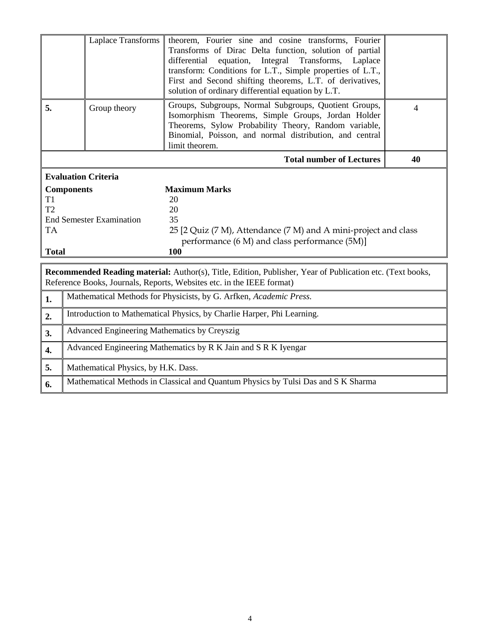| Laplace Transforms                                                                                        |                                              | theorem, Fourier sine and cosine transforms, Fourier<br>Transforms of Dirac Delta function, solution of partial<br>differential<br>equation, Integral<br>Transforms,<br>Laplace<br>transform: Conditions for L.T., Simple properties of L.T.,<br>First and Second shifting theorems, L.T. of derivatives,<br>solution of ordinary differential equation by L.T. |    |
|-----------------------------------------------------------------------------------------------------------|----------------------------------------------|-----------------------------------------------------------------------------------------------------------------------------------------------------------------------------------------------------------------------------------------------------------------------------------------------------------------------------------------------------------------|----|
| 5.<br>Group theory                                                                                        |                                              | Groups, Subgroups, Normal Subgroups, Quotient Groups,<br>Isomorphism Theorems, Simple Groups, Jordan Holder<br>Theorems, Sylow Probability Theory, Random variable,<br>Binomial, Poisson, and normal distribution, and central<br>limit theorem.                                                                                                                | 4  |
|                                                                                                           |                                              | <b>Total number of Lectures</b>                                                                                                                                                                                                                                                                                                                                 | 40 |
|                                                                                                           | <b>Evaluation Criteria</b>                   |                                                                                                                                                                                                                                                                                                                                                                 |    |
| <b>Components</b><br>T1<br>T <sub>2</sub><br><b>End Semester Examination</b><br><b>TA</b><br><b>Total</b> |                                              | <b>Maximum Marks</b><br>20<br>20<br>35<br>25 [2 Quiz (7 M), Attendance (7 M) and A mini-project and class<br>performance (6 M) and class performance (5M)]<br>100                                                                                                                                                                                               |    |
|                                                                                                           |                                              | <b>Recommended Reading material:</b> Author(s), Title, Edition, Publisher, Year of Publication etc. (Text books,<br>Reference Books, Journals, Reports, Websites etc. in the IEEE format)                                                                                                                                                                       |    |
| 1.                                                                                                        |                                              | Mathematical Methods for Physicists, by G. Arfken, Academic Press.                                                                                                                                                                                                                                                                                              |    |
| 2.                                                                                                        |                                              | Introduction to Mathematical Physics, by Charlie Harper, Phi Learning.                                                                                                                                                                                                                                                                                          |    |
| 3.                                                                                                        | Advanced Engineering Mathematics by Creyszig |                                                                                                                                                                                                                                                                                                                                                                 |    |
| 4.                                                                                                        |                                              | Advanced Engineering Mathematics by R K Jain and S R K Iyengar                                                                                                                                                                                                                                                                                                  |    |
| 5.                                                                                                        | Mathematical Physics, by H.K. Dass.          |                                                                                                                                                                                                                                                                                                                                                                 |    |
| 6.                                                                                                        |                                              | Mathematical Methods in Classical and Quantum Physics by Tulsi Das and S K Sharma                                                                                                                                                                                                                                                                               |    |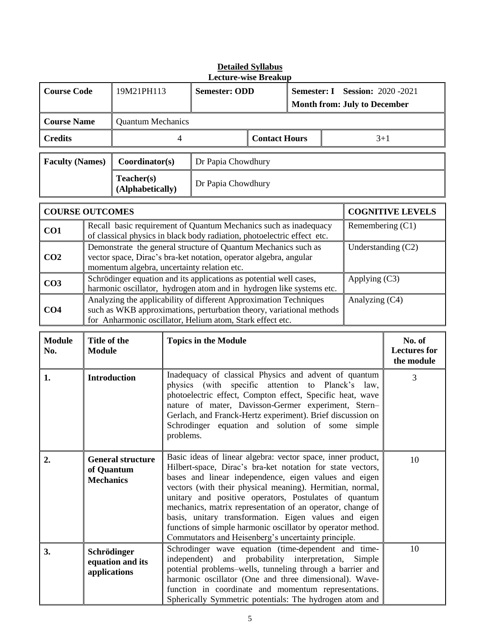|                                                      |                                                                                                                                                                                                                                                                                                  |                                                                                                                     |                                                                                                                                                                                                                                                                                                                                                                                                                                                                                                      | <b>Lecture-wise Breakup</b>                                                                                                                                                                                                                                                                                                                                                                                                |                      |  |         |                      |                                             |  |
|------------------------------------------------------|--------------------------------------------------------------------------------------------------------------------------------------------------------------------------------------------------------------------------------------------------------------------------------------------------|---------------------------------------------------------------------------------------------------------------------|------------------------------------------------------------------------------------------------------------------------------------------------------------------------------------------------------------------------------------------------------------------------------------------------------------------------------------------------------------------------------------------------------------------------------------------------------------------------------------------------------|----------------------------------------------------------------------------------------------------------------------------------------------------------------------------------------------------------------------------------------------------------------------------------------------------------------------------------------------------------------------------------------------------------------------------|----------------------|--|---------|----------------------|---------------------------------------------|--|
| <b>Course Code</b>                                   |                                                                                                                                                                                                                                                                                                  | 19M21PH113<br><b>Semester: ODD</b><br><b>Semester: I</b> Session: 2020 -2021<br><b>Month from: July to December</b> |                                                                                                                                                                                                                                                                                                                                                                                                                                                                                                      |                                                                                                                                                                                                                                                                                                                                                                                                                            |                      |  |         |                      |                                             |  |
| <b>Course Name</b>                                   |                                                                                                                                                                                                                                                                                                  |                                                                                                                     | <b>Quantum Mechanics</b>                                                                                                                                                                                                                                                                                                                                                                                                                                                                             |                                                                                                                                                                                                                                                                                                                                                                                                                            |                      |  |         |                      |                                             |  |
| <b>Credits</b>                                       |                                                                                                                                                                                                                                                                                                  |                                                                                                                     | 4                                                                                                                                                                                                                                                                                                                                                                                                                                                                                                    |                                                                                                                                                                                                                                                                                                                                                                                                                            | <b>Contact Hours</b> |  | $3 + 1$ |                      |                                             |  |
| <b>Faculty (Names)</b>                               |                                                                                                                                                                                                                                                                                                  |                                                                                                                     | Coordinator(s)<br>Dr Papia Chowdhury                                                                                                                                                                                                                                                                                                                                                                                                                                                                 |                                                                                                                                                                                                                                                                                                                                                                                                                            |                      |  |         |                      |                                             |  |
| Teacher(s)<br>Dr Papia Chowdhury<br>(Alphabetically) |                                                                                                                                                                                                                                                                                                  |                                                                                                                     |                                                                                                                                                                                                                                                                                                                                                                                                                                                                                                      |                                                                                                                                                                                                                                                                                                                                                                                                                            |                      |  |         |                      |                                             |  |
| <b>COURSE OUTCOMES</b>                               |                                                                                                                                                                                                                                                                                                  |                                                                                                                     |                                                                                                                                                                                                                                                                                                                                                                                                                                                                                                      |                                                                                                                                                                                                                                                                                                                                                                                                                            |                      |  |         |                      | <b>COGNITIVE LEVELS</b>                     |  |
| CO1                                                  |                                                                                                                                                                                                                                                                                                  |                                                                                                                     |                                                                                                                                                                                                                                                                                                                                                                                                                                                                                                      | Recall basic requirement of Quantum Mechanics such as inadequacy<br>of classical physics in black body radiation, photoelectric effect etc.                                                                                                                                                                                                                                                                                |                      |  |         | Remembering (C1)     |                                             |  |
| CO <sub>2</sub>                                      |                                                                                                                                                                                                                                                                                                  |                                                                                                                     |                                                                                                                                                                                                                                                                                                                                                                                                                                                                                                      | Demonstrate the general structure of Quantum Mechanics such as<br>vector space, Dirac's bra-ket notation, operator algebra, angular<br>momentum algebra, uncertainty relation etc.                                                                                                                                                                                                                                         |                      |  |         | Understanding $(C2)$ |                                             |  |
| CO <sub>3</sub>                                      |                                                                                                                                                                                                                                                                                                  |                                                                                                                     |                                                                                                                                                                                                                                                                                                                                                                                                                                                                                                      | Schrödinger equation and its applications as potential well cases,                                                                                                                                                                                                                                                                                                                                                         |                      |  |         | Applying (C3)        |                                             |  |
| CO <sub>4</sub>                                      | harmonic oscillator, hydrogen atom and in hydrogen like systems etc.<br>Analyzing the applicability of different Approximation Techniques<br>Analyzing (C4)<br>such as WKB approximations, perturbation theory, variational methods<br>for Anharmonic oscillator, Helium atom, Stark effect etc. |                                                                                                                     |                                                                                                                                                                                                                                                                                                                                                                                                                                                                                                      |                                                                                                                                                                                                                                                                                                                                                                                                                            |                      |  |         |                      |                                             |  |
| <b>Module</b><br>No.                                 | Title of the<br><b>Module</b>                                                                                                                                                                                                                                                                    |                                                                                                                     |                                                                                                                                                                                                                                                                                                                                                                                                                                                                                                      | <b>Topics in the Module</b>                                                                                                                                                                                                                                                                                                                                                                                                |                      |  |         |                      | No. of<br><b>Lectures for</b><br>the module |  |
| 1.                                                   |                                                                                                                                                                                                                                                                                                  | <b>Introduction</b>                                                                                                 |                                                                                                                                                                                                                                                                                                                                                                                                                                                                                                      | Inadequacy of classical Physics and advent of quantum<br>3<br>physics (with specific attention to Planck's<br>law,<br>photoelectric effect, Compton effect, Specific heat, wave<br>nature of mater, Davisson-Germer experiment, Stern-<br>Gerlach, and Franck-Hertz experiment). Brief discussion on<br>Schrodinger equation and solution of some<br>simple<br>problems.                                                   |                      |  |         |                      |                                             |  |
| 2.                                                   | of Quantum<br><b>Mechanics</b>                                                                                                                                                                                                                                                                   | <b>General structure</b>                                                                                            | Basic ideas of linear algebra: vector space, inner product,<br>10<br>Hilbert-space, Dirac's bra-ket notation for state vectors,<br>bases and linear independence, eigen values and eigen<br>vectors (with their physical meaning). Hermitian, normal,<br>unitary and positive operators, Postulates of quantum<br>mechanics, matrix representation of an operator, change of<br>basis, unitary transformation. Eigen values and eigen<br>functions of simple harmonic oscillator by operator method. |                                                                                                                                                                                                                                                                                                                                                                                                                            |                      |  |         |                      |                                             |  |
| 3.                                                   | Schrödinger<br>applications                                                                                                                                                                                                                                                                      | equation and its                                                                                                    |                                                                                                                                                                                                                                                                                                                                                                                                                                                                                                      | Commutators and Heisenberg's uncertainty principle.<br>Schrodinger wave equation (time-dependent and time-<br>10<br>independent)<br>probability interpretation,<br>and<br>Simple<br>potential problems-wells, tunneling through a barrier and<br>harmonic oscillator (One and three dimensional). Wave-<br>function in coordinate and momentum representations.<br>Spherically Symmetric potentials: The hydrogen atom and |                      |  |         |                      |                                             |  |

# **Detailed Syllabus**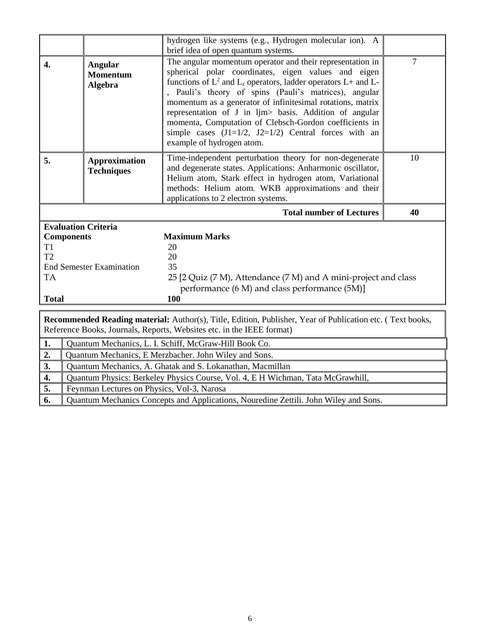|                  |                                                                                                                                                                                                                                                                                                                             | hydrogen like systems (e.g., Hydrogen molecular ion). A                                                                                                                                                                                                                                                                                                                                                                                                                                                                        |                |
|------------------|-----------------------------------------------------------------------------------------------------------------------------------------------------------------------------------------------------------------------------------------------------------------------------------------------------------------------------|--------------------------------------------------------------------------------------------------------------------------------------------------------------------------------------------------------------------------------------------------------------------------------------------------------------------------------------------------------------------------------------------------------------------------------------------------------------------------------------------------------------------------------|----------------|
|                  |                                                                                                                                                                                                                                                                                                                             | brief idea of open quantum systems.                                                                                                                                                                                                                                                                                                                                                                                                                                                                                            |                |
| $\overline{4}$ . | Angular<br><b>Momentum</b><br>Algebra                                                                                                                                                                                                                                                                                       | The angular momentum operator and their representation in<br>spherical polar coordinates, eigen values and eigen<br>functions of $L^2$ and $L_z$ operators, ladder operators $L$ + and $L$ -<br>, Pauli's theory of spins (Pauli's matrices), angular<br>momentum as a generator of infinitesimal rotations, matrix<br>representation of J in ljm> basis. Addition of angular<br>momenta, Computation of Clebsch-Gordon coefficients in<br>simple cases $(J1=1/2, J2=1/2)$ Central forces with an<br>example of hydrogen atom. | $\overline{7}$ |
| 5.               | Time-independent perturbation theory for non-degenerate<br><b>Approximation</b><br>and degenerate states. Applications: Anharmonic oscillator,<br><b>Techniques</b><br>Helium atom, Stark effect in hydrogen atom, Variational<br>methods: Helium atom. WKB approximations and their<br>applications to 2 electron systems. |                                                                                                                                                                                                                                                                                                                                                                                                                                                                                                                                | 10             |
|                  |                                                                                                                                                                                                                                                                                                                             | <b>Total number of Lectures</b>                                                                                                                                                                                                                                                                                                                                                                                                                                                                                                | 40             |
|                  |                                                                                                                                                                                                                                                                                                                             |                                                                                                                                                                                                                                                                                                                                                                                                                                                                                                                                |                |
|                  | <b>Evaluation Criteria</b>                                                                                                                                                                                                                                                                                                  |                                                                                                                                                                                                                                                                                                                                                                                                                                                                                                                                |                |
|                  | <b>Components</b>                                                                                                                                                                                                                                                                                                           | <b>Maximum Marks</b>                                                                                                                                                                                                                                                                                                                                                                                                                                                                                                           |                |
| T1               |                                                                                                                                                                                                                                                                                                                             | 20                                                                                                                                                                                                                                                                                                                                                                                                                                                                                                                             |                |
| T <sub>2</sub>   |                                                                                                                                                                                                                                                                                                                             | 20                                                                                                                                                                                                                                                                                                                                                                                                                                                                                                                             |                |
|                  | <b>End Semester Examination</b>                                                                                                                                                                                                                                                                                             | 35                                                                                                                                                                                                                                                                                                                                                                                                                                                                                                                             |                |
| <b>TA</b>        |                                                                                                                                                                                                                                                                                                                             | 25 [2 Quiz (7 M), Attendance (7 M) and A mini-project and class                                                                                                                                                                                                                                                                                                                                                                                                                                                                |                |
|                  |                                                                                                                                                                                                                                                                                                                             | performance (6 M) and class performance (5M)]                                                                                                                                                                                                                                                                                                                                                                                                                                                                                  |                |
| <b>Total</b>     |                                                                                                                                                                                                                                                                                                                             | 100                                                                                                                                                                                                                                                                                                                                                                                                                                                                                                                            |                |
|                  |                                                                                                                                                                                                                                                                                                                             | Recommended Reading material: Author(s), Title, Edition, Publisher, Year of Publication etc. (Text books,<br>Reference Books, Journals, Reports, Websites etc. in the IEEE format)                                                                                                                                                                                                                                                                                                                                             |                |
| 1.               |                                                                                                                                                                                                                                                                                                                             | Quantum Mechanics, L. I. Schiff, McGraw-Hill Book Co.                                                                                                                                                                                                                                                                                                                                                                                                                                                                          |                |
| 2.               |                                                                                                                                                                                                                                                                                                                             | Quantum Mechanics, E Merzbacher. John Wiley and Sons.                                                                                                                                                                                                                                                                                                                                                                                                                                                                          |                |
| 3.               |                                                                                                                                                                                                                                                                                                                             | Quantum Mechanics, A. Ghatak and S. Lokanathan, Macmillan                                                                                                                                                                                                                                                                                                                                                                                                                                                                      |                |
| 4.               |                                                                                                                                                                                                                                                                                                                             |                                                                                                                                                                                                                                                                                                                                                                                                                                                                                                                                |                |
| 5.               | Feynman Lectures on Physics, Vol-3, Narosa                                                                                                                                                                                                                                                                                  | Quantum Physics: Berkeley Physics Course, Vol. 4, E H Wichman, Tata McGrawhill,                                                                                                                                                                                                                                                                                                                                                                                                                                                |                |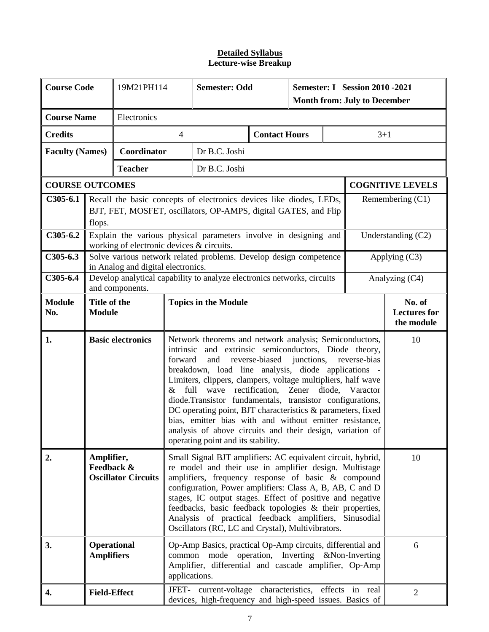| <b>Course Code</b>     |                                                                                                                                                                                                                                                                                                                                                                                                                                                                                                                                                                                                                                                                                       | 19M21PH114                                |                | <b>Semester: Odd</b>                                                    |                      |                                                                                                                                                                             |  | <b>Semester: I</b> Session 2010 - 2021<br><b>Month from: July to December</b> |                    |  |  |
|------------------------|---------------------------------------------------------------------------------------------------------------------------------------------------------------------------------------------------------------------------------------------------------------------------------------------------------------------------------------------------------------------------------------------------------------------------------------------------------------------------------------------------------------------------------------------------------------------------------------------------------------------------------------------------------------------------------------|-------------------------------------------|----------------|-------------------------------------------------------------------------|----------------------|-----------------------------------------------------------------------------------------------------------------------------------------------------------------------------|--|-------------------------------------------------------------------------------|--------------------|--|--|
| <b>Course Name</b>     |                                                                                                                                                                                                                                                                                                                                                                                                                                                                                                                                                                                                                                                                                       | Electronics                               |                |                                                                         |                      |                                                                                                                                                                             |  |                                                                               |                    |  |  |
| <b>Credits</b>         |                                                                                                                                                                                                                                                                                                                                                                                                                                                                                                                                                                                                                                                                                       |                                           | $\overline{4}$ |                                                                         | <b>Contact Hours</b> |                                                                                                                                                                             |  | $3 + 1$                                                                       |                    |  |  |
| <b>Faculty (Names)</b> |                                                                                                                                                                                                                                                                                                                                                                                                                                                                                                                                                                                                                                                                                       | Coordinator                               |                | Dr B.C. Joshi                                                           |                      |                                                                                                                                                                             |  |                                                                               |                    |  |  |
|                        |                                                                                                                                                                                                                                                                                                                                                                                                                                                                                                                                                                                                                                                                                       | <b>Teacher</b>                            |                | Dr B.C. Joshi                                                           |                      |                                                                                                                                                                             |  |                                                                               |                    |  |  |
|                        | <b>COURSE OUTCOMES</b>                                                                                                                                                                                                                                                                                                                                                                                                                                                                                                                                                                                                                                                                |                                           |                |                                                                         |                      |                                                                                                                                                                             |  | <b>COGNITIVE LEVELS</b>                                                       |                    |  |  |
| $C305-6.1$             | Recall the basic concepts of electronics devices like diodes, LEDs,<br>BJT, FET, MOSFET, oscillators, OP-AMPS, digital GATES, and Flip<br>flops.                                                                                                                                                                                                                                                                                                                                                                                                                                                                                                                                      |                                           |                |                                                                         |                      | Remembering $(C1)$                                                                                                                                                          |  |                                                                               |                    |  |  |
| $C305-6.2$             |                                                                                                                                                                                                                                                                                                                                                                                                                                                                                                                                                                                                                                                                                       | working of electronic devices & circuits. |                | Explain the various physical parameters involve in designing and        |                      |                                                                                                                                                                             |  |                                                                               | Understanding (C2) |  |  |
| $C305-6.3$             |                                                                                                                                                                                                                                                                                                                                                                                                                                                                                                                                                                                                                                                                                       | in Analog and digital electronics.        |                | Solve various network related problems. Develop design competence       |                      |                                                                                                                                                                             |  |                                                                               | Applying $(C3)$    |  |  |
| $C305-6.4$             |                                                                                                                                                                                                                                                                                                                                                                                                                                                                                                                                                                                                                                                                                       | and components.                           |                | Develop analytical capability to analyze electronics networks, circuits |                      |                                                                                                                                                                             |  |                                                                               | Analyzing (C4)     |  |  |
| <b>Module</b><br>No.   | Title of the<br><b>Module</b>                                                                                                                                                                                                                                                                                                                                                                                                                                                                                                                                                                                                                                                         |                                           |                | <b>Topics in the Module</b>                                             |                      |                                                                                                                                                                             |  | No. of<br><b>Lectures for</b><br>the module                                   |                    |  |  |
| 1.                     | <b>Basic electronics</b><br>Network theorems and network analysis; Semiconductors,<br>and extrinsic semiconductors, Diode theory,<br>intrinsic<br>forward<br>reverse-biased<br>and<br>junctions,<br>reverse-bias<br>breakdown, load line analysis, diode applications -<br>Limiters, clippers, clampers, voltage multipliers, half wave<br>& full wave rectification, Zener diode, Varactor<br>diode.Transistor fundamentals, transistor configurations,<br>DC operating point, BJT characteristics & parameters, fixed<br>bias, emitter bias with and without emitter resistance,<br>analysis of above circuits and their design, variation of<br>operating point and its stability. |                                           |                |                                                                         |                      | 10                                                                                                                                                                          |  |                                                                               |                    |  |  |
| 2.                     | Amplifier,<br>Small Signal BJT amplifiers: AC equivalent circuit, hybrid,<br>Feedback &<br>re model and their use in amplifier design. Multistage<br><b>Oscillator Circuits</b><br>amplifiers, frequency response of basic & compound<br>configuration, Power amplifiers: Class A, B, AB, C and D<br>stages, IC output stages. Effect of positive and negative<br>feedbacks, basic feedback topologies & their properties,<br>Analysis of practical feedback amplifiers, Sinusodial<br>Oscillators (RC, LC and Crystal), Multivibrators.                                                                                                                                              |                                           |                |                                                                         |                      | 10                                                                                                                                                                          |  |                                                                               |                    |  |  |
| 3.                     | <b>Operational</b><br><b>Amplifiers</b>                                                                                                                                                                                                                                                                                                                                                                                                                                                                                                                                                                                                                                               |                                           | applications.  |                                                                         |                      | Op-Amp Basics, practical Op-Amp circuits, differential and<br>6<br>common mode operation, Inverting &Non-Inverting<br>Amplifier, differential and cascade amplifier, Op-Amp |  |                                                                               |                    |  |  |
| 4.                     | <b>Field-Effect</b>                                                                                                                                                                                                                                                                                                                                                                                                                                                                                                                                                                                                                                                                   |                                           |                |                                                                         |                      | JFET- current-voltage characteristics, effects in real<br>$\overline{2}$<br>devices, high-frequency and high-speed issues. Basics of                                        |  |                                                                               |                    |  |  |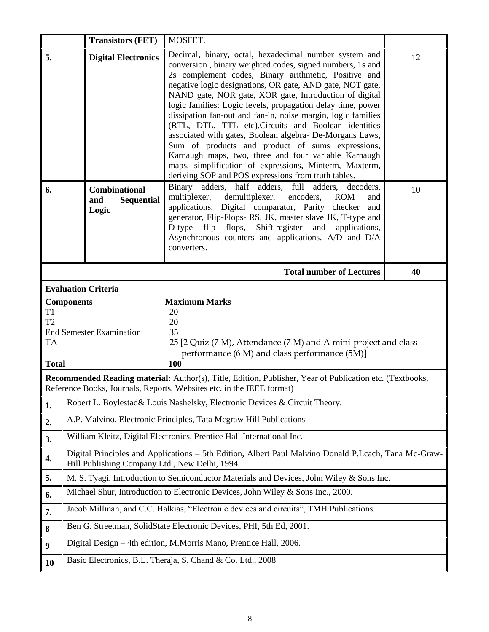|                                  | <b>Transistors (FET)</b>                                  | MOSFET.                                                                                                                                                                                                                                                                                                                                                                                 |    |
|----------------------------------|-----------------------------------------------------------|-----------------------------------------------------------------------------------------------------------------------------------------------------------------------------------------------------------------------------------------------------------------------------------------------------------------------------------------------------------------------------------------|----|
| 5.                               | <b>Digital Electronics</b>                                | Decimal, binary, octal, hexadecimal number system and<br>conversion, binary weighted codes, signed numbers, 1s and                                                                                                                                                                                                                                                                      | 12 |
|                                  |                                                           | 2s complement codes, Binary arithmetic, Positive and                                                                                                                                                                                                                                                                                                                                    |    |
|                                  |                                                           | negative logic designations, OR gate, AND gate, NOT gate,<br>NAND gate, NOR gate, XOR gate, Introduction of digital                                                                                                                                                                                                                                                                     |    |
|                                  |                                                           | logic families: Logic levels, propagation delay time, power<br>dissipation fan-out and fan-in, noise margin, logic families                                                                                                                                                                                                                                                             |    |
|                                  |                                                           | (RTL, DTL, TTL etc). Circuits and Boolean identities                                                                                                                                                                                                                                                                                                                                    |    |
|                                  |                                                           | associated with gates, Boolean algebra- De-Morgans Laws,<br>Sum of products and product of sums expressions,                                                                                                                                                                                                                                                                            |    |
|                                  |                                                           | Karnaugh maps, two, three and four variable Karnaugh<br>maps, simplification of expressions, Minterm, Maxterm,                                                                                                                                                                                                                                                                          |    |
|                                  |                                                           | deriving SOP and POS expressions from truth tables.                                                                                                                                                                                                                                                                                                                                     |    |
| 6.                               | <b>Combinational</b><br><b>Sequential</b><br>and<br>Logic | Binary adders, half adders, full<br>adders,<br>decoders,<br>multiplexer,<br>demultiplexer,<br>encoders,<br><b>ROM</b><br>and<br>applications, Digital comparator, Parity checker and<br>generator, Flip-Flops-RS, JK, master slave JK, T-type and<br>D-type flip flops,<br>Shift-register<br>and<br>applications,<br>Asynchronous counters and applications. A/D and D/A<br>converters. | 10 |
|                                  |                                                           | <b>Total number of Lectures</b>                                                                                                                                                                                                                                                                                                                                                         | 40 |
|                                  | <b>Evaluation Criteria</b>                                |                                                                                                                                                                                                                                                                                                                                                                                         |    |
|                                  | <b>Components</b>                                         | <b>Maximum Marks</b>                                                                                                                                                                                                                                                                                                                                                                    |    |
|                                  |                                                           |                                                                                                                                                                                                                                                                                                                                                                                         |    |
| T <sub>1</sub><br>T <sub>2</sub> |                                                           | 20<br>20                                                                                                                                                                                                                                                                                                                                                                                |    |
| <b>TA</b>                        | <b>End Semester Examination</b>                           | 35<br>25 [2 Quiz (7 M), Attendance (7 M) and A mini-project and class                                                                                                                                                                                                                                                                                                                   |    |
|                                  |                                                           | performance (6 M) and class performance (5M)]                                                                                                                                                                                                                                                                                                                                           |    |
| <b>Total</b>                     |                                                           | 100                                                                                                                                                                                                                                                                                                                                                                                     |    |
|                                  |                                                           | Recommended Reading material: Author(s), Title, Edition, Publisher, Year of Publication etc. (Textbooks,<br>Reference Books, Journals, Reports, Websites etc. in the IEEE format)                                                                                                                                                                                                       |    |
| 1.                               |                                                           | Robert L. Boylestad& Louis Nashelsky, Electronic Devices & Circuit Theory.                                                                                                                                                                                                                                                                                                              |    |
| 2.                               |                                                           | A.P. Malvino, Electronic Principles, Tata Mcgraw Hill Publications                                                                                                                                                                                                                                                                                                                      |    |
| 3.                               |                                                           | William Kleitz, Digital Electronics, Prentice Hall International Inc.                                                                                                                                                                                                                                                                                                                   |    |
| 4.                               | Hill Publishing Company Ltd., New Delhi, 1994             | Digital Principles and Applications - 5th Edition, Albert Paul Malvino Donald P.Lcach, Tana Mc-Graw-                                                                                                                                                                                                                                                                                    |    |
| 5.                               |                                                           | M. S. Tyagi, Introduction to Semiconductor Materials and Devices, John Wiley & Sons Inc.                                                                                                                                                                                                                                                                                                |    |
| 6.                               |                                                           | Michael Shur, Introduction to Electronic Devices, John Wiley & Sons Inc., 2000.                                                                                                                                                                                                                                                                                                         |    |
| 7.                               |                                                           | Jacob Millman, and C.C. Halkias, "Electronic devices and circuits", TMH Publications.                                                                                                                                                                                                                                                                                                   |    |
| 8                                |                                                           | Ben G. Streetman, SolidState Electronic Devices, PHI, 5th Ed, 2001.                                                                                                                                                                                                                                                                                                                     |    |
| $\boldsymbol{9}$                 |                                                           | Digital Design – 4th edition, M.Morris Mano, Prentice Hall, 2006.                                                                                                                                                                                                                                                                                                                       |    |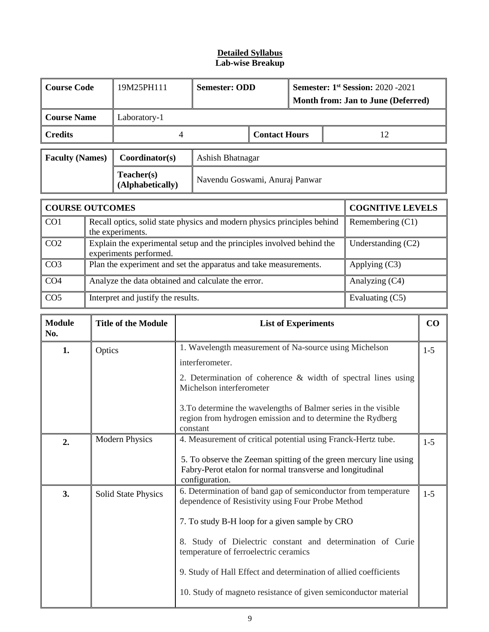# **Detailed Syllabus Lab-wise Breakup**

| <b>Course Code</b>     |                                                                                                 | 19M25PH111                                                                                  | <b>Semester: ODD</b>               |                      | <b>Semester: 1st Session: 2020 -2021</b> |  |                         |  |  |
|------------------------|-------------------------------------------------------------------------------------------------|---------------------------------------------------------------------------------------------|------------------------------------|----------------------|------------------------------------------|--|-------------------------|--|--|
|                        |                                                                                                 |                                                                                             | Month from: Jan to June (Deferred) |                      |                                          |  |                         |  |  |
| <b>Course Name</b>     |                                                                                                 | Laboratory-1                                                                                |                                    |                      |                                          |  |                         |  |  |
| <b>Credits</b>         |                                                                                                 | 4                                                                                           |                                    | <b>Contact Hours</b> |                                          |  | 12                      |  |  |
| <b>Faculty (Names)</b> |                                                                                                 | Coordinator(s)                                                                              | Ashish Bhatnagar                   |                      |                                          |  |                         |  |  |
|                        |                                                                                                 | Teacher(s)<br>(Alphabetically)                                                              | Navendu Goswami, Anuraj Panwar     |                      |                                          |  |                         |  |  |
| <b>COURSE OUTCOMES</b> |                                                                                                 |                                                                                             |                                    |                      |                                          |  | <b>COGNITIVE LEVELS</b> |  |  |
| CO <sub>1</sub>        |                                                                                                 | Recall optics, solid state physics and modern physics principles behind<br>the experiments. |                                    |                      |                                          |  | Remembering $(C1)$      |  |  |
| CO <sub>2</sub>        | Explain the experimental setup and the principles involved behind the<br>experiments performed. |                                                                                             |                                    | Understanding $(C2)$ |                                          |  |                         |  |  |
| CO <sub>3</sub>        | Plan the experiment and set the apparatus and take measurements.<br>Applying $(C3)$             |                                                                                             |                                    |                      |                                          |  |                         |  |  |
| CO <sub>4</sub>        |                                                                                                 | Analyze the data obtained and calculate the error.                                          |                                    |                      |                                          |  | Analyzing (C4)          |  |  |
| CO <sub>5</sub>        | Interpret and justify the results.<br>Evaluating (C5)                                           |                                                                                             |                                    |                      |                                          |  |                         |  |  |

| <b>Module</b><br>No. | <b>Title of the Module</b> | <b>List of Experiments</b>                                                                                                                       |       |  |  |  |  |
|----------------------|----------------------------|--------------------------------------------------------------------------------------------------------------------------------------------------|-------|--|--|--|--|
| 1.<br>Optics         |                            | 1. Wavelength measurement of Na-source using Michelson                                                                                           | $1-5$ |  |  |  |  |
|                      |                            | interferometer.                                                                                                                                  |       |  |  |  |  |
|                      |                            | 2. Determination of coherence $\&$ width of spectral lines using<br>Michelson interferometer                                                     |       |  |  |  |  |
|                      |                            | 3. To determine the wavelengths of Balmer series in the visible<br>region from hydrogen emission and to determine the Rydberg<br>constant        |       |  |  |  |  |
| 2.                   | <b>Modern Physics</b>      | 4. Measurement of critical potential using Franck-Hertz tube.                                                                                    | $1-5$ |  |  |  |  |
|                      |                            | 5. To observe the Zeeman spitting of the green mercury line using<br>Fabry-Perot etalon for normal transverse and longitudinal<br>configuration. |       |  |  |  |  |
| 3.                   | <b>Solid State Physics</b> | 6. Determination of band gap of semiconductor from temperature<br>dependence of Resistivity using Four Probe Method                              | $1-5$ |  |  |  |  |
|                      |                            | 7. To study B-H loop for a given sample by CRO                                                                                                   |       |  |  |  |  |
|                      |                            | 8. Study of Dielectric constant and determination of Curie<br>temperature of ferroelectric ceramics                                              |       |  |  |  |  |
|                      |                            | 9. Study of Hall Effect and determination of allied coefficients                                                                                 |       |  |  |  |  |
|                      |                            | 10. Study of magneto resistance of given semiconductor material                                                                                  |       |  |  |  |  |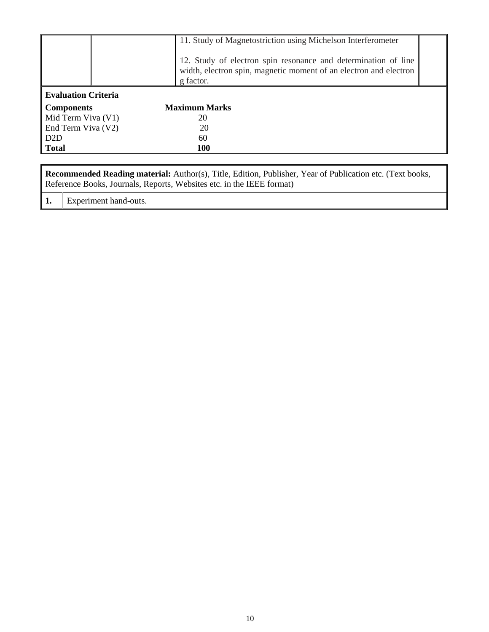|                            | 11. Study of Magnetostriction using Michelson Interferometer<br>12. Study of electron spin resonance and determination of line<br>width, electron spin, magnetic moment of an electron and electron |  |
|----------------------------|-----------------------------------------------------------------------------------------------------------------------------------------------------------------------------------------------------|--|
|                            | g factor.                                                                                                                                                                                           |  |
| <b>Evaluation Criteria</b> |                                                                                                                                                                                                     |  |
| <b>Components</b>          | <b>Maximum Marks</b>                                                                                                                                                                                |  |
| Mid Term Viva (V1)         | 20                                                                                                                                                                                                  |  |
| End Term Viva (V2)         | 20                                                                                                                                                                                                  |  |
| D <sub>2</sub> D           | 60                                                                                                                                                                                                  |  |
| <b>Total</b>               | <b>100</b>                                                                                                                                                                                          |  |

| Recommended Reading material: Author(s), Title, Edition, Publisher, Year of Publication etc. (Text books, |
|-----------------------------------------------------------------------------------------------------------|
| Reference Books, Journals, Reports, Websites etc. in the IEEE format)                                     |
|                                                                                                           |

**1.** Experiment hand-outs.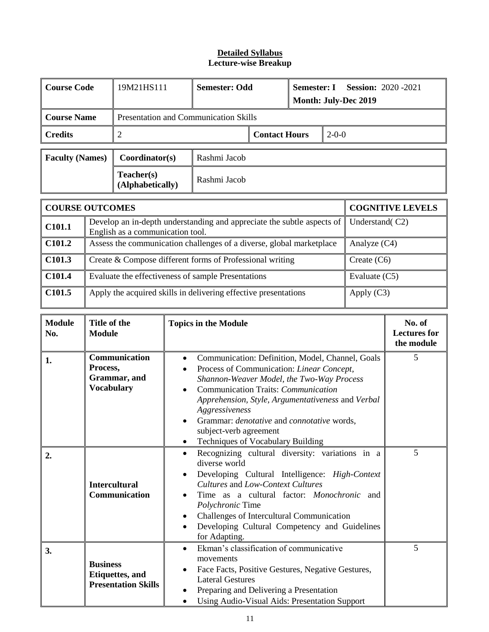| <b>Course Code</b>     |                                                                                                            | 19M21HS111                                                                             | <b>Semester: Odd</b> |                      | <b>Semester: I</b> |                         | <b>Session: 2020 -2021</b> |  |
|------------------------|------------------------------------------------------------------------------------------------------------|----------------------------------------------------------------------------------------|----------------------|----------------------|--------------------|-------------------------|----------------------------|--|
|                        |                                                                                                            |                                                                                        |                      |                      |                    |                         | Month: July-Dec 2019       |  |
| <b>Course Name</b>     |                                                                                                            | <b>Presentation and Communication Skills</b>                                           |                      |                      |                    |                         |                            |  |
| <b>Credits</b>         |                                                                                                            | 2                                                                                      |                      | <b>Contact Hours</b> | $2 - 0 - 0$        |                         |                            |  |
| <b>Faculty (Names)</b> |                                                                                                            | Coordinator(s)                                                                         | Rashmi Jacob         |                      |                    |                         |                            |  |
|                        |                                                                                                            | Teacher(s)<br>(Alphabetically)                                                         | Rashmi Jacob         |                      |                    |                         |                            |  |
| <b>COURSE OUTCOMES</b> |                                                                                                            |                                                                                        |                      |                      |                    | <b>COGNITIVE LEVELS</b> |                            |  |
| C <sub>101.1</sub>     | Develop an in-depth understanding and appreciate the subtle aspects of<br>English as a communication tool. |                                                                                        |                      |                      |                    |                         | Understand(C2)             |  |
| C <sub>101.2</sub>     |                                                                                                            | Assess the communication challenges of a diverse, global marketplace<br>Analyze $(C4)$ |                      |                      |                    |                         |                            |  |
| C <sub>101.3</sub>     | Create & Compose different forms of Professional writing<br>Create $(C6)$                                  |                                                                                        |                      |                      |                    |                         |                            |  |
| C101.4                 | Evaluate the effectiveness of sample Presentations<br>Evaluate (C5)                                        |                                                                                        |                      |                      |                    |                         |                            |  |
| C101.5                 | Apply the acquired skills in delivering effective presentations<br>Apply $(C3)$                            |                                                                                        |                      |                      |                    |                         |                            |  |

| <b>Module</b><br>No. | Title of the<br><b>Module</b>                                            | <b>Topics in the Module</b>                                                                                                                                                                                                                                                                                                                                                                                                                  | No. of<br><b>Lectures for</b><br>the module |
|----------------------|--------------------------------------------------------------------------|----------------------------------------------------------------------------------------------------------------------------------------------------------------------------------------------------------------------------------------------------------------------------------------------------------------------------------------------------------------------------------------------------------------------------------------------|---------------------------------------------|
| 1.                   | Communication<br>Process,<br>Grammar, and<br><b>Vocabulary</b>           | Communication: Definition, Model, Channel, Goals<br>٠<br>Process of Communication: Linear Concept,<br>$\bullet$<br>Shannon-Weaver Model, the Two-Way Process<br>Communication Traits: Communication<br>$\bullet$<br>Apprehension, Style, Argumentativeness and Verbal<br>Aggressiveness<br>Grammar: <i>denotative</i> and <i>connotative</i> words,<br>$\bullet$<br>subject-verb agreement<br>Techniques of Vocabulary Building<br>$\bullet$ | 5                                           |
| 2.                   | <b>Intercultural</b><br>Communication                                    | Recognizing cultural diversity: variations in a<br>$\bullet$<br>diverse world<br>Developing Cultural Intelligence: High-Context<br>$\bullet$<br>Cultures and Low-Context Cultures<br>Time as a cultural factor: <i>Monochronic</i> and<br>$\bullet$<br>Polychronic Time<br>Challenges of Intercultural Communication<br>$\bullet$<br>Developing Cultural Competency and Guidelines<br>$\bullet$<br>for Adapting.                             | 5                                           |
| 3.                   | <b>Business</b><br><b>Etiquettes</b> , and<br><b>Presentation Skills</b> | Ekman's classification of communicative<br>$\bullet$<br>movements<br>Face Facts, Positive Gestures, Negative Gestures,<br>$\bullet$<br><b>Lateral Gestures</b><br>Preparing and Delivering a Presentation<br>$\bullet$<br>Using Audio-Visual Aids: Presentation Support<br>$\bullet$                                                                                                                                                         | 5                                           |